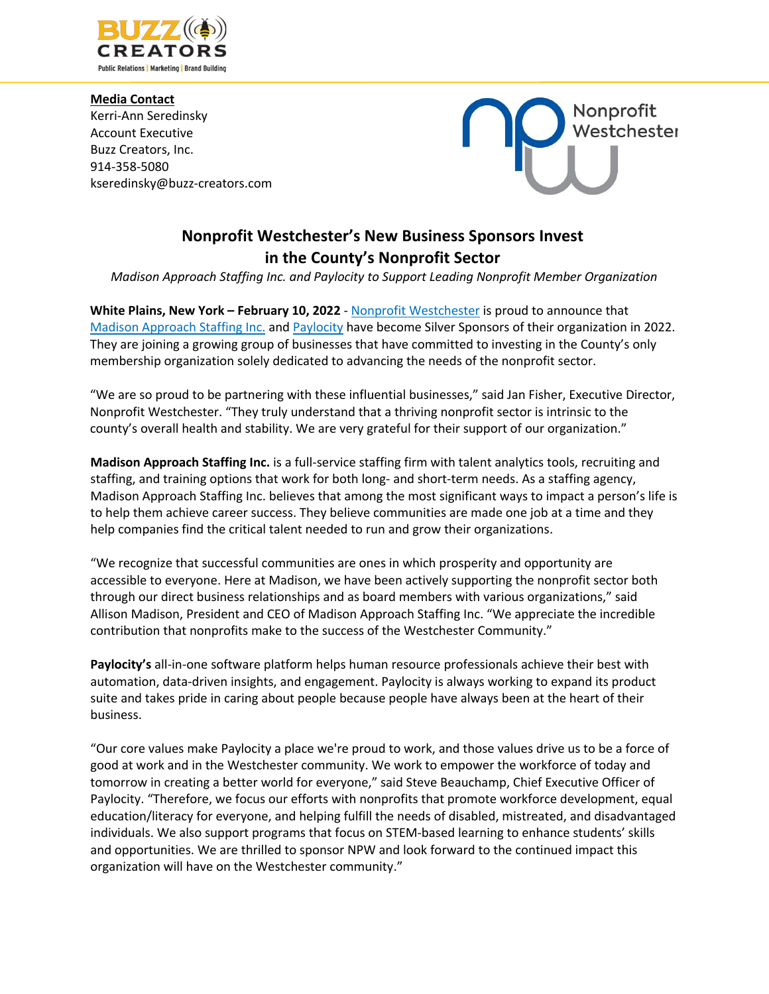

**Media Contact** Kerri-Ann Seredinsky Account Executive Buzz Creators, Inc. 914-358-5080 kseredinsky@buzz-creators.com



## **Nonprofit Westchester's New Business Sponsors Invest in the County's Nonprofit Sector**

*Madison Approach Staffing Inc. and Paylocity to Support Leading Nonprofit Member Organization*

**White Plains, New York – February 10, 2022** - Nonprofit Westchester is proud to announce that Madison Approach Staffing Inc. and Paylocity have become Silver Sponsors of their organization in 2022. They are joining a growing group of businesses that have committed to investing in the County's only membership organization solely dedicated to advancing the needs of the nonprofit sector.

"We are so proud to be partnering with these influential businesses," said Jan Fisher, Executive Director, Nonprofit Westchester. "They truly understand that a thriving nonprofit sector is intrinsic to the county's overall health and stability. We are very grateful for their support of our organization."

**Madison Approach Staffing Inc.** is a full-service staffing firm with talent analytics tools, recruiting and staffing, and training options that work for both long- and short-term needs. As a staffing agency, Madison Approach Staffing Inc. believes that among the most significant ways to impact a person's life is to help them achieve career success. They believe communities are made one job at a time and they help companies find the critical talent needed to run and grow their organizations.

"We recognize that successful communities are ones in which prosperity and opportunity are accessible to everyone. Here at Madison, we have been actively supporting the nonprofit sector both through our direct business relationships and as board members with various organizations," said Allison Madison, President and CEO of Madison Approach Staffing Inc. "We appreciate the incredible contribution that nonprofits make to the success of the Westchester Community."

**Paylocity's** all-in-one software platform helps human resource professionals achieve their best with automation, data-driven insights, and engagement. Paylocity is always working to expand its product suite and takes pride in caring about people because people have always been at the heart of their business.

"Our core values make Paylocity a place we're proud to work, and those values drive us to be a force of good at work and in the Westchester community. We work to empower the workforce of today and tomorrow in creating a better world for everyone," said Steve Beauchamp, Chief Executive Officer of Paylocity. "Therefore, we focus our efforts with nonprofits that promote workforce development, equal education/literacy for everyone, and helping fulfill the needs of disabled, mistreated, and disadvantaged individuals. We also support programs that focus on STEM-based learning to enhance students' skills and opportunities. We are thrilled to sponsor NPW and look forward to the continued impact this organization will have on the Westchester community."